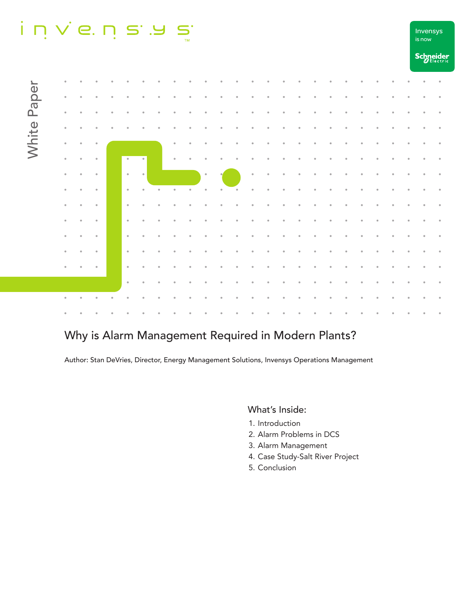## $i$  n  $\vee$  e. n s .  $\overline{\mathbf{D}}_{\mathbf{m}}$



# Why is Alarm Management Required in Modern Plants?

Author: Stan DeVries, Director, Energy Management Solutions, Invensys Operations Management

## What's Inside:

- 1. Introduction
- 2. Alarm Problems in DCS
- 3. Alarm Management
- 4. Case Study-Salt River Project

is now Invensys

5. Conclusion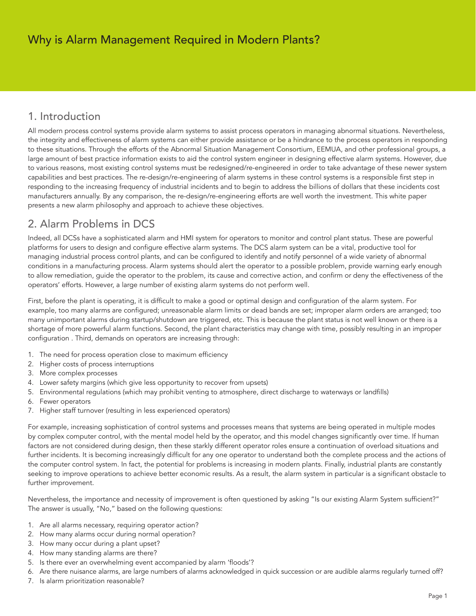# 1. Introduction

All modern process control systems provide alarm systems to assist process operators in managing abnormal situations. Nevertheless, the integrity and effectiveness of alarm systems can either provide assistance or be a hindrance to the process operators in responding to these situations. Through the efforts of the Abnormal Situation Management Consortium, EEMUA, and other professional groups, a large amount of best practice information exists to aid the control system engineer in designing effective alarm systems. However, due to various reasons, most existing control systems must be redesigned/re-engineered in order to take advantage of these newer system capabilities and best practices. The re-design/re-engineering of alarm systems in these control systems is a responsible first step in responding to the increasing frequency of industrial incidents and to begin to address the billions of dollars that these incidents cost manufacturers annually. By any comparison, the re-design/re-engineering efforts are well worth the investment. This white paper presents a new alarm philosophy and approach to achieve these objectives.

# 2. Alarm Problems in DCS

Indeed, all DCSs have a sophisticated alarm and HMI system for operators to monitor and control plant status. These are powerful platforms for users to design and configure effective alarm systems. The DCS alarm system can be a vital, productive tool for managing industrial process control plants, and can be configured to identify and notify personnel of a wide variety of abnormal conditions in a manufacturing process. Alarm systems should alert the operator to a possible problem, provide warning early enough to allow remediation, guide the operator to the problem, its cause and corrective action, and confirm or deny the effectiveness of the operators' efforts. However, a large number of existing alarm systems do not perform well.

First, before the plant is operating, it is difficult to make a good or optimal design and configuration of the alarm system. For example, too many alarms are configured; unreasonable alarm limits or dead bands are set; improper alarm orders are arranged; too many unimportant alarms during startup/shutdown are triggered, etc. This is because the plant status is not well known or there is a shortage of more powerful alarm functions. Second, the plant characteristics may change with time, possibly resulting in an improper configuration . Third, demands on operators are increasing through:

- 1. The need for process operation close to maximum efficiency
- 2. Higher costs of process interruptions
- 3. More complex processes
- 4. Lower safety margins (which give less opportunity to recover from upsets)
- 5. Environmental regulations (which may prohibit venting to atmosphere, direct discharge to waterways or landfills)
- 6. Fewer operators
- 7. Higher staff turnover (resulting in less experienced operators)

For example, increasing sophistication of control systems and processes means that systems are being operated in multiple modes by complex computer control, with the mental model held by the operator, and this model changes significantly over time. If human factors are not considered during design, then these starkly different operator roles ensure a continuation of overload situations and further incidents. It is becoming increasingly difficult for any one operator to understand both the complete process and the actions of the computer control system. In fact, the potential for problems is increasing in modern plants. Finally, industrial plants are constantly seeking to improve operations to achieve better economic results. As a result, the alarm system in particular is a significant obstacle to further improvement.

Nevertheless, the importance and necessity of improvement is often questioned by asking "Is our existing Alarm System sufficient?" The answer is usually, "No," based on the following questions:

- 1. Are all alarms necessary, requiring operator action?
- 2. How many alarms occur during normal operation?
- 3. How many occur during a plant upset?
- 4. How many standing alarms are there?
- 5. Is there ever an overwhelming event accompanied by alarm 'floods'?
- 6. Are there nuisance alarms, are large numbers of alarms acknowledged in quick succession or are audible alarms regularly turned off?
- 7. Is alarm prioritization reasonable?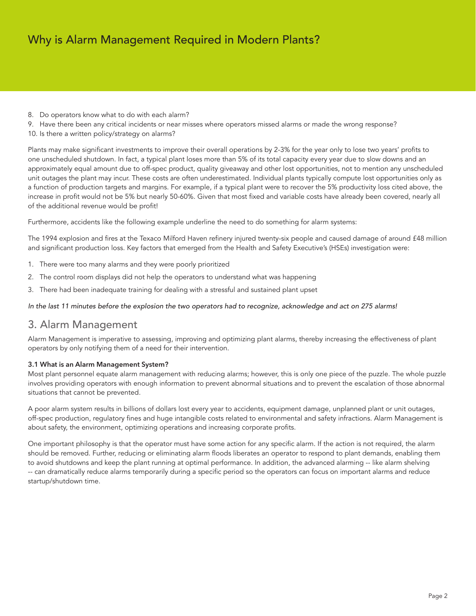- 8. Do operators know what to do with each alarm?
- 9. Have there been any critical incidents or near misses where operators missed alarms or made the wrong response?
- 10. Is there a written policy/strategy on alarms?

Plants may make significant investments to improve their overall operations by 2-3% for the year only to lose two years' profits to one unscheduled shutdown. In fact, a typical plant loses more than 5% of its total capacity every year due to slow downs and an approximately equal amount due to off-spec product, quality giveaway and other lost opportunities, not to mention any unscheduled unit outages the plant may incur. These costs are often underestimated. Individual plants typically compute lost opportunities only as a function of production targets and margins. For example, if a typical plant were to recover the 5% productivity loss cited above, the increase in profit would not be 5% but nearly 50-60%. Given that most fixed and variable costs have already been covered, nearly all of the additional revenue would be profit!

Furthermore, accidents like the following example underline the need to do something for alarm systems:

The 1994 explosion and fires at the Texaco Milford Haven refinery injured twenty-six people and caused damage of around £48 million and significant production loss. Key factors that emerged from the Health and Safety Executive's (HSEs) investigation were:

- 1. There were too many alarms and they were poorly prioritized
- 2. The control room displays did not help the operators to understand what was happening
- 3. There had been inadequate training for dealing with a stressful and sustained plant upset

### In the last 11 minutes before the explosion the two operators had to recognize, acknowledge and act on 275 alarms!

## 3. Alarm Management

Alarm Management is imperative to assessing, improving and optimizing plant alarms, thereby increasing the effectiveness of plant operators by only notifying them of a need for their intervention.

### 3.1 What is an Alarm Management System?

Most plant personnel equate alarm management with reducing alarms; however, this is only one piece of the puzzle. The whole puzzle involves providing operators with enough information to prevent abnormal situations and to prevent the escalation of those abnormal situations that cannot be prevented.

A poor alarm system results in billions of dollars lost every year to accidents, equipment damage, unplanned plant or unit outages, off-spec production, regulatory fines and huge intangible costs related to environmental and safety infractions. Alarm Management is about safety, the environment, optimizing operations and increasing corporate profits.

One important philosophy is that the operator must have some action for any specific alarm. If the action is not required, the alarm should be removed. Further, reducing or eliminating alarm floods liberates an operator to respond to plant demands, enabling them to avoid shutdowns and keep the plant running at optimal performance. In addition, the advanced alarming -- like alarm shelving -- can dramatically reduce alarms temporarily during a specific period so the operators can focus on important alarms and reduce startup/shutdown time.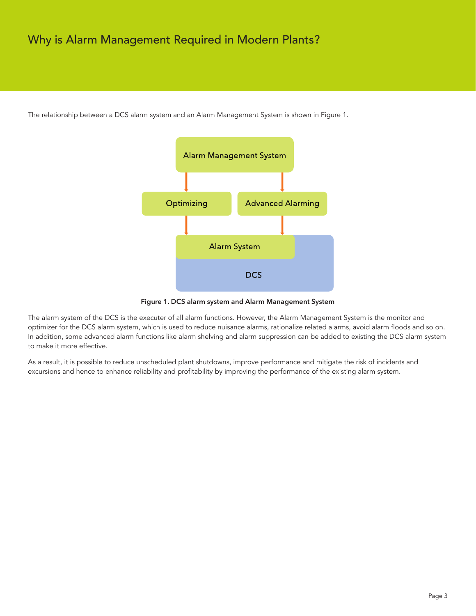# Why is Alarm Management Required in Modern Plants?



The relationship between a DCS alarm system and an Alarm Management System is shown in Figure 1.

Figure 1. DCS alarm system and Alarm Management System

The alarm system of the DCS is the executer of all alarm functions. However, the Alarm Management System is the monitor and optimizer for the DCS alarm system, which is used to reduce nuisance alarms, rationalize related alarms, avoid alarm floods and so on. In addition, some advanced alarm functions like alarm shelving and alarm suppression can be added to existing the DCS alarm system to make it more effective.

As a result, it is possible to reduce unscheduled plant shutdowns, improve performance and mitigate the risk of incidents and excursions and hence to enhance reliability and profitability by improving the performance of the existing alarm system.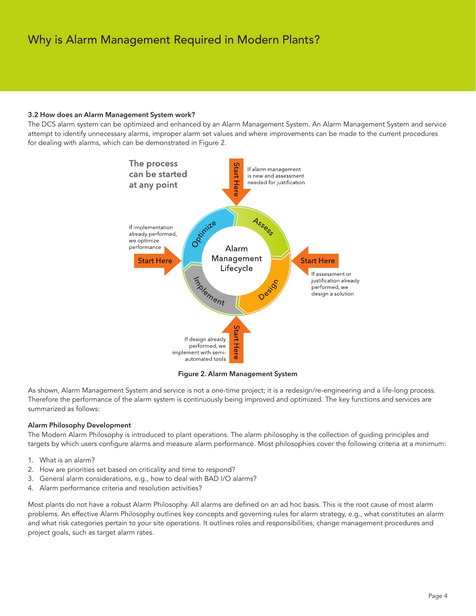# Why is Alarm Management Required in Modern Plants?

#### 3.2 How does an Alarm Management System work?

The DCS alarm system can be optimized and enhanced by an Alarm Management System. An Alarm Management System and service attempt to identify unnecessary alarms, improper alarm set values and where improvements can be made to the current procedures for dealing with alarms, which can be demonstrated in Figure 2.



Figure 2. Alarm Management System

As shown, Alarm Management System and service is not a one-time project; it is a redesign/re-engineering and a life-long process. Therefore the performance of the alarm system is continuously being improved and optimized. The key functions and services are summarized as follows:

### Alarm Philosophy Development

The Modern Alarm Philosophy is introduced to plant operations. The alarm philosophy is the collection of guiding principles and targets by which users configure alarms and measure alarm performance. Most philosophies cover the following criteria at a minimum:

- 1. What is an alarm?
- 2. How are priorities set based on criticality and time to respond?
- 3. General alarm considerations, e.g., how to deal with BAD I/O alarms?
- 4. Alarm performance criteria and resolution activities?

Most plants do not have a robust Alarm Philosophy. All alarms are defined on an ad hoc basis. This is the root cause of most alarm problems. An effective Alarm Philosophy outlines key concepts and governing rules for alarm strategy, e.g., what constitutes an alarm and what risk categories pertain to your site operations. It outlines roles and responsibilities, change management procedures and project goals, such as target alarm rates.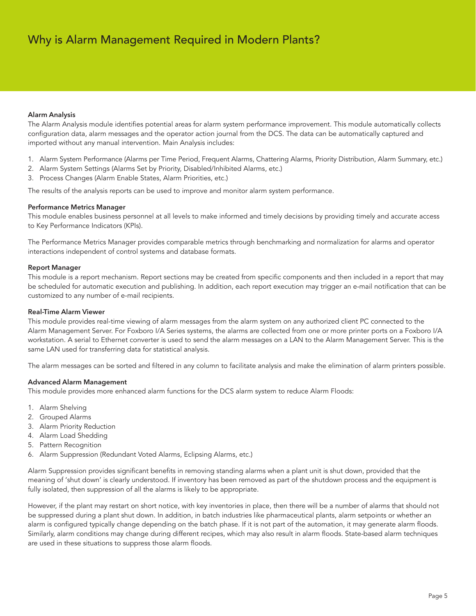## Alarm Analysis

The Alarm Analysis module identifies potential areas for alarm system performance improvement. This module automatically collects configuration data, alarm messages and the operator action journal from the DCS. The data can be automatically captured and imported without any manual intervention. Main Analysis includes:

- 1. Alarm System Performance (Alarms per Time Period, Frequent Alarms, Chattering Alarms, Priority Distribution, Alarm Summary, etc.)
- 2. Alarm System Settings (Alarms Set by Priority, Disabled/Inhibited Alarms, etc.)
- 3. Process Changes (Alarm Enable States, Alarm Priorities, etc.)

The results of the analysis reports can be used to improve and monitor alarm system performance.

#### Performance Metrics Manager

This module enables business personnel at all levels to make informed and timely decisions by providing timely and accurate access to Key Performance Indicators (KPIs).

The Performance Metrics Manager provides comparable metrics through benchmarking and normalization for alarms and operator interactions independent of control systems and database formats.

#### Report Manager

This module is a report mechanism. Report sections may be created from specific components and then included in a report that may be scheduled for automatic execution and publishing. In addition, each report execution may trigger an e-mail notification that can be customized to any number of e-mail recipients.

#### Real-Time Alarm Viewer

This module provides real-time viewing of alarm messages from the alarm system on any authorized client PC connected to the Alarm Management Server. For Foxboro I/A Series systems, the alarms are collected from one or more printer ports on a Foxboro I/A workstation. A serial to Ethernet converter is used to send the alarm messages on a LAN to the Alarm Management Server. This is the same LAN used for transferring data for statistical analysis.

The alarm messages can be sorted and filtered in any column to facilitate analysis and make the elimination of alarm printers possible.

### Advanced Alarm Management

This module provides more enhanced alarm functions for the DCS alarm system to reduce Alarm Floods:

- 1. Alarm Shelving
- 2. Grouped Alarms
- 3. Alarm Priority Reduction
- 4. Alarm Load Shedding
- 5. Pattern Recognition
- 6. Alarm Suppression (Redundant Voted Alarms, Eclipsing Alarms, etc.)

Alarm Suppression provides significant benefits in removing standing alarms when a plant unit is shut down, provided that the meaning of 'shut down' is clearly understood. If inventory has been removed as part of the shutdown process and the equipment is fully isolated, then suppression of all the alarms is likely to be appropriate.

However, if the plant may restart on short notice, with key inventories in place, then there will be a number of alarms that should not be suppressed during a plant shut down. In addition, in batch industries like pharmaceutical plants, alarm setpoints or whether an alarm is configured typically change depending on the batch phase. If it is not part of the automation, it may generate alarm floods. Similarly, alarm conditions may change during different recipes, which may also result in alarm floods. State-based alarm techniques are used in these situations to suppress those alarm floods.